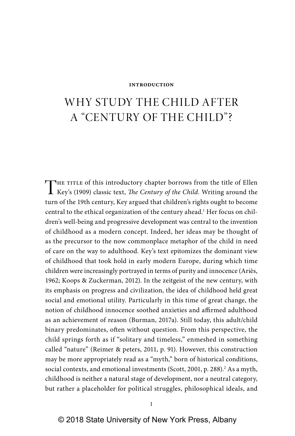# WHY STUDY THE CHILD AFTER A "CENTURY OF THE CHILD"?

THE TITLE of this introductory chapter borrows from the title of Ellen<br>Key's (1909) classic text, The Century of the Child. Writing around the turn of the 19th century, Key argued that children's rights ought to become central to the ethical organization of the century ahead.<sup>1</sup> Her focus on children's well- being and progressive development was central to the invention of childhood as a modern concept. Indeed, her ideas may be thought of as the precursor to the now commonplace metaphor of the child in need of care on the way to adulthood. Key's text epitomizes the dominant view of childhood that took hold in early modern Europe, during which time children were increasingly portrayed in terms of purity and innocence (Ariès, 1962; Koops & Zuckerman, 2012). In the zeitgeist of the new century, with its emphasis on progress and civilization, the idea of childhood held great social and emotional utility. Particularly in this time of great change, the notion of childhood innocence soothed anxieties and affirmed adulthood as an achievement of reason (Burman, 2017a). Still today, this adult/child binary predominates, often without question. From this perspective, the child springs forth as if "solitary and timeless," enmeshed in something called "nature" (Reimer & peters, 2011, p. 91). However, this construction may be more appropriately read as a "myth," born of historical conditions, social contexts, and emotional investments (Scott, 2001, p. 288).<sup>2</sup> As a myth, childhood is neither a natural stage of development, nor a neutral category, but rather a placeholder for political struggles, philosophical ideals, and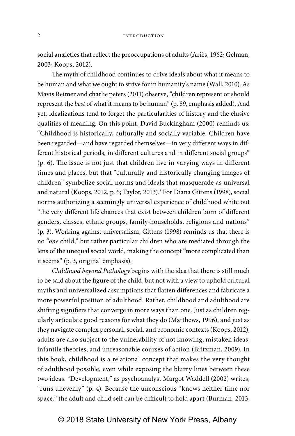social anxieties that reflect the preoccupations of adults (Ariès, 1962; Gelman, 2003; Koops, 2012).

The myth of childhood continues to drive ideals about what it means to be human and what we ought to strive for in humanity's name (Wall, 2010). As Mavis Reimer and charlie peters (2011) observe, "children represent or should represent the best of what it means to be human" (p. 89, emphasis added). And yet, idealizations tend to forget the particularities of history and the elusive qualities of meaning. On this point, David Buckingham (2000) reminds us: "Childhood is historically, culturally and socially variable. Children have been regarded—and have regarded themselves—in very different ways in different historical periods, in different cultures and in different social groups" (p. 6). The issue is not just that children live in varying ways in different times and places, but that "culturally and historically changing images of children" symbolize social norms and ideals that masquerade as universal and natural (Koops, 2012, p. 5; Taylor, 2013).<sup>3</sup> For Diana Gittens (1998), social norms authorizing a seemingly universal experience of childhood white out "the very different life chances that exist between children born of different genders, classes, ethnic groups, family-households, religions and nations" (p. 3). Working against universalism, Gittens (1998) reminds us that there is no "one child," but rather particular children who are mediated through the lens of the unequal social world, making the concept "more complicated than it seems" (p. 3, original emphasis).

Childhood beyond Pathology begins with the idea that there is still much to be said about the figure of the child, but not with a view to uphold cultural myths and universalized assumptions that flatten differences and fabricate a more powerful position of adulthood. Rather, childhood and adulthood are shifting signifiers that converge in more ways than one. Just as children regularly articulate good reasons for what they do (Matthews, 1996), and just as they navigate complex personal, social, and economic contexts (Koops, 2012), adults are also subject to the vulnerability of not knowing, mistaken ideas, infantile theories, and unreasonable courses of action (Britzman, 2009). In this book, childhood is a relational concept that makes the very thought of adulthood possible, even while exposing the blurry lines between these two ideas. "Development," as psychoanalyst Margot Waddell (2002) writes, "runs unevenly" (p. 4). Because the unconscious "knows neither time nor space," the adult and child self can be difficult to hold apart (Burman, 2013,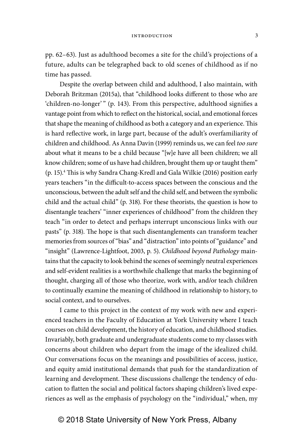pp. 62–63). Just as adulthood becomes a site for the child's projections of a future, adults can be telegraphed back to old scenes of childhood as if no time has passed.

Despite the overlap between child and adulthood, I also maintain, with Deborah Britzman (2015a), that "childhood looks different to those who are 'children-no-longer'" (p. 143). From this perspective, adulthood signifies a vantage point from which to reflect on the historical, social, and emotional forces that shape the meaning of childhood as both a category and an experience. This is hard reflective work, in large part, because of the adult's overfamiliarity of children and childhood. As Anna Davin (1999) reminds us, we can feel too sure about what it means to be a child because "[w]e have all been children; we all know children; some of us have had children, brought them up or taught them" (p. 15).<sup>4</sup> This is why Sandra Chang-Kredl and Gala Wilkie (2016) position early years teachers "in the difficult- to- access spaces between the conscious and the unconscious, between the adult self and the child self, and between the symbolic child and the actual child" (p. 318). For these theorists, the question is how to disentangle teachers' "inner experiences of childhood" from the children they teach "in order to detect and perhaps interrupt unconscious links with our pasts" (p. 318). The hope is that such disentanglements can transform teacher memories from sources of "bias" and "distraction" into points of "guidance" and "insight" (Lawrence-Lightfoot, 2003, p. 5). Childhood beyond Pathology maintains that the capacity to look behind the scenes of seemingly neutral experiences and self- evident realities is a worthwhile challenge that marks the beginning of thought, charging all of those who theorize, work with, and/or teach children to continually examine the meaning of childhood in relationship to history, to social context, and to ourselves.

I came to this project in the context of my work with new and experienced teachers in the Faculty of Education at York University where I teach courses on child development, the history of education, and childhood studies. Invariably, both graduate and undergraduate students come to my classes with concerns about children who depart from the image of the idealized child. Our conversations focus on the meanings and possibilities of access, justice, and equity amid institutional demands that push for the standardization of learning and development. These discussions challenge the tendency of education to flatten the social and political factors shaping children's lived experiences as well as the emphasis of psychology on the "individual," when, my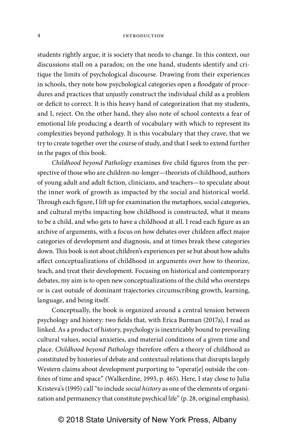students rightly argue, it is society that needs to change. In this context, our discussions stall on a paradox; on the one hand, students identify and critique the limits of psychological discourse. Drawing from their experiences in schools, they note how psychological categories open a floodgate of procedures and practices that unjustly construct the individual child as a problem or deficit to correct. It is this heavy hand of categorization that my students, and I, reject. On the other hand, they also note of school contexts a fear of emotional life producing a dearth of vocabulary with which to represent its complexities beyond pathology. It is this vocabulary that they crave, that we try to create together over the course of study, and that I seek to extend further in the pages of this book.

Childhood beyond Pathology examines five child figures from the perspective of those who are children-no-longer—theorists of childhood, authors of young adult and adult fiction, clinicians, and teachers—to speculate about the inner work of growth as impacted by the social and historical world. Through each figure, I lift up for examination the metaphors, social categories, and cultural myths impacting how childhood is constructed, what it means to be a child, and who gets to have a childhood at all. I read each figure as an archive of arguments, with a focus on how debates over children affect major categories of development and diagnosis, and at times break these categories down. This book is not about children's experiences per se but about how adults affect conceptualizations of childhood in arguments over how to theorize, teach, and treat their development. Focusing on historical and contemporary debates, my aim is to open new conceptualizations of the child who oversteps or is cast outside of dominant trajectories circumscribing growth, learning, language, and being itself.

Conceptually, the book is organized around a central tension between psychology and history: two fields that, with Erica Burman (2017a), I read as linked. As a product of history, psychology is inextricably bound to prevailing cultural values, social anxieties, and material conditions of a given time and place. Childhood beyond Pathology therefore offers a theory of childhood as constituted by histories of debate and contextual relations that disrupts largely Western claims about development purporting to "operat[e] outside the confines of time and space" (Walkerdine, 1993, p. 465). Here, I stay close to Julia Kristeva's (1995) call "to include social history as one of the elements of organization and permanency that constitute psychical life" (p. 28, original emphasis).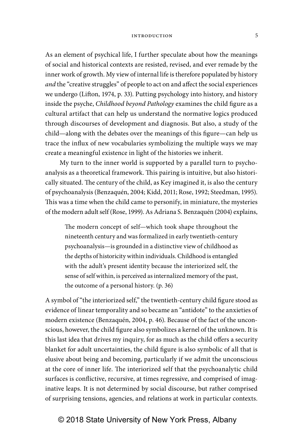As an element of psychical life, I further speculate about how the meanings of social and historical contexts are resisted, revised, and ever remade by the inner work of growth. My view of internal life is therefore populated by history and the "creative struggles" of people to act on and affect the social experiences we undergo (Lifton, 1974, p. 33). Putting psychology into history, and history inside the psyche, Childhood beyond Pathology examines the child figure as a cultural artifact that can help us understand the normative logics produced through discourses of development and diagnosis. But also, a study of the child—along with the debates over the meanings of this figure—can help us trace the influx of new vocabularies symbolizing the multiple ways we may create a meaningful existence in light of the histories we inherit.

My turn to the inner world is supported by a parallel turn to psychoanalysis as a theoretical framework. This pairing is intuitive, but also historically situated. The century of the child, as Key imagined it, is also the century of psycho analysis (Benzaquén, 2004; Kidd, 2011; Rose, 1992; Steedman, 1995). This was a time when the child came to personify, in miniature, the mysteries of the modern adult self (Rose, 1999). As Adriana S. Benzaquén (2004) explains,

The modern concept of self—which took shape throughout the nineteenth century and was formalized in early twentieth- century psychoanalysis—is grounded in a distinctive view of childhood as the depths of historicity within individuals. Childhood is entangled with the adult's present identity because the interiorized self, the sense of self within, is perceived as internalized memory of the past, the outcome of a personal history. (p. 36)

A symbol of "the interiorized self," the twentieth- century child figure stood as evidence of linear temporality and so became an "antidote" to the anxieties of modern existence (Benzaquén, 2004, p. 46). Because of the fact of the unconscious, however, the child figure also symbolizes a kernel of the unknown. It is this last idea that drives my inquiry, for as much as the child offers a security blanket for adult uncertainties, the child figure is also symbolic of all that is elusive about being and becoming, particularly if we admit the unconscious at the core of inner life. The interiorized self that the psychoanalytic child surfaces is conflictive, recursive, at times regressive, and comprised of imaginative leaps. It is not determined by social discourse, but rather comprised of surprising tensions, agencies, and relations at work in particular contexts.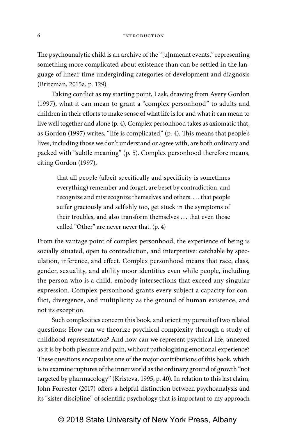The psychoanalytic child is an archive of the "[u]nmeant events," representing something more complicated about existence than can be settled in the language of linear time undergirding categories of development and diagnosis (Britzman, 2015a, p. 129).

Taking conflict as my starting point, I ask, drawing from Avery Gordon (1997), what it can mean to grant a "complex personhood" to adults and children in their efforts to make sense of what life is for and what it can mean to live well together and alone (p. 4). Complex personhood takes as axiomatic that, as Gordon (1997) writes, "life is complicated" (p. 4). This means that people's lives, including those we don't understand or agree with, are both ordinary and packed with "subtle meaning" (p. 5). Complex personhood therefore means, citing Gordon (1997),

that all people (albeit specifically and specificity is sometimes everything) remember and forget, are beset by contradiction, and recognize and misrecognize themselves and others. . . . that people suffer graciously and selfishly too, get stuck in the symptoms of their troubles, and also transform themselves . . . that even those called "Other" are never never that. (p. 4)

From the vantage point of complex personhood, the experience of being is socially situated, open to contradiction, and interpretive: catchable by speculation, inference, and effect. Complex personhood means that race, class, gender, sexuality, and ability moor identities even while people, including the person who is a child, embody intersections that exceed any singular expression. Complex personhood grants every subject a capacity for conflict, divergence, and multiplicity as the ground of human existence, and not its exception.

Such complexities concern this book, and orient my pursuit of two related questions: How can we theorize psychical complexity through a study of childhood representation? And how can we represent psychical life, annexed as it is by both pleasure and pain, without pathologizing emotional experience? These questions encapsulate one of the major contributions of this book, which is to examine ruptures of the inner world as the ordinary ground of growth "not targeted by pharmacology" (Kristeva, 1995, p. 40). In relation to this last claim, John Forrester (2017) offers a helpful distinction between psychoanalysis and its "sister discipline" of scientific psychology that is important to my approach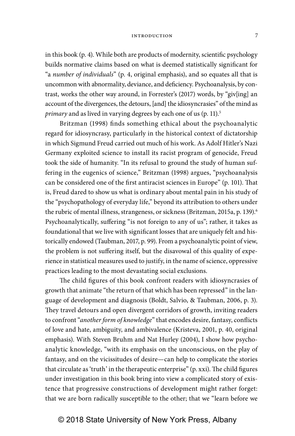in this book (p. 4). While both are products of modernity, scientific psychology builds normative claims based on what is deemed statistically significant for "a number of individuals" (p. 4, original emphasis), and so equates all that is uncommon with abnormality, deviance, and deficiency. Psychoanalysis, by contrast, works the other way around, in Forrester's (2017) words, by "giv[ing] an account of the divergences, the detours, [and] the idiosyncrasies" of the mind as primary and as lived in varying degrees by each one of us (p. 11).<sup>5</sup>

Britzman (1998) finds something ethical about the psychoanalytic regard for idiosyncrasy, particularly in the historical context of dictatorship in which Sigmund Freud carried out much of his work. As Adolf Hitler's Nazi Germany exploited science to install its racist program of genocide, Freud took the side of humanity. "In its refusal to ground the study of human suffering in the eugenics of science," Britzman (1998) argues, "psychoanalysis can be considered one of the first antiracist sciences in Europe" (p. 101). That is, Freud dared to show us what is ordinary about mental pain in his study of the "psychopathology of everyday life," beyond its attribution to others under the rubric of mental illness, strangeness, or sickness (Britzman, 2015a, p. 139).<sup>6</sup> Psychoanalytically, suffering "is not foreign to any of us"; rather, it takes as foundational that we live with significant losses that are uniquely felt and historically endowed (Taubman, 2017, p. 99). From a psychoanalytic point of view, the problem is not suffering itself, but the disavowal of this quality of experience in statistical measures used to justify, in the name of science, oppressive practices leading to the most devastating social exclusions.

The child figures of this book confront readers with idiosyncrasies of growth that animate "the return of that which has been repressed" in the language of development and diagnosis (Boldt, Salvio, & Taubman, 2006, p. 3). They travel detours and open divergent corridors of growth, inviting readers to confront "another form of knowledge" that encodes desire, fantasy, conflicts of love and hate, ambiguity, and ambivalence (Kristeva, 2001, p. 40, original emphasis). With Steven Bruhm and Nat Hurley (2004), I show how psychoanalytic knowledge, "with its emphasis on the unconscious, on the play of fantasy, and on the vicissitudes of desire—can help to complicate the stories that circulate as 'truth' in the therapeutic enterprise" (p. xxi). The child figures under investigation in this book bring into view a complicated story of existence that progressive constructions of development might rather forget: that we are born radically susceptible to the other; that we "learn before we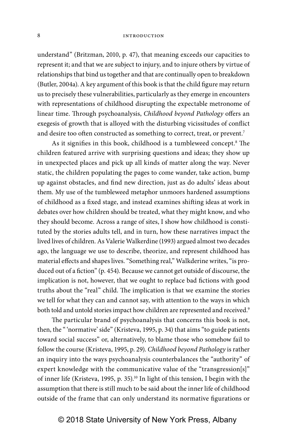understand" (Britzman, 2010, p. 47), that meaning exceeds our capacities to represent it; and that we are subject to injury, and to injure others by virtue of relationships that bind us together and that are continually open to breakdown (Butler, 2004a). A key argument of this book is that the child figure may return us to precisely these vulnerabilities, particularly as they emerge in encounters with representations of childhood disrupting the expectable metronome of linear time. Through psychoanalysis, Childhood beyond Pathology offers an exegesis of growth that is alloyed with the disturbing vicissitudes of conflict and desire too often constructed as something to correct, treat, or prevent.<sup>7</sup>

As it signifies in this book, childhood is a tumbleweed concept.8 The children featured arrive with surprising questions and ideas; they show up in unexpected places and pick up all kinds of matter along the way. Never static, the children populating the pages to come wander, take action, bump up against obstacles, and find new direction, just as do adults' ideas about them. My use of the tumbleweed metaphor unmoors hardened assumptions of childhood as a fixed stage, and instead examines shifting ideas at work in debates over how children should be treated, what they might know, and who they should become. Across a range of sites, I show how childhood is constituted by the stories adults tell, and in turn, how these narratives impact the lived lives of children. As Valerie Walkerdine (1993) argued almost two decades ago, the language we use to describe, theorize, and represent childhood has material effects and shapes lives. "Something real," Walkderine writes, "is produced out of a fiction" (p. 454). Because we cannot get outside of discourse, the implication is not, however, that we ought to replace bad fictions with good truths about the "real" child. The implication is that we examine the stories we tell for what they can and cannot say, with attention to the ways in which both told and untold stories impact how children are represented and received.<sup>9</sup>

The particular brand of psychoanalysis that concerns this book is not, then, the " 'normative' side" (Kristeva, 1995, p. 34) that aims "to guide patients toward social success" or, alternatively, to blame those who somehow fail to follow the course (Kristeva, 1995, p. 29). Childhood beyond Pathology is rather an inquiry into the ways psychoanalysis counterbalances the "authority" of expert knowledge with the communicative value of the "transgression[s]" of inner life (Kristeva, 1995, p. 35).10 In light of this tension, I begin with the assumption that there is still much to be said about the inner life of childhood outside of the frame that can only understand its normative figurations or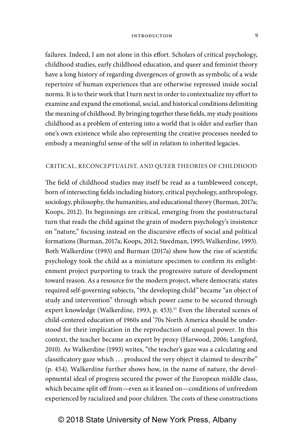failures. Indeed, I am not alone in this effort. Scholars of critical psychology, childhood studies, early childhood education, and queer and feminist theory have a long history of regarding divergences of growth as symbolic of a wide repertoire of human experiences that are otherwise repressed inside social norms. It is to their work that I turn next in order to contextualize my effort to examine and expand the emotional, social, and historical conditions delimiting the meaning of childhood. By bringing together these fields, my study positions childhood as a problem of entering into a world that is older and earlier than one's own existence while also representing the creative processes needed to embody a meaningful sense of the self in relation to inherited legacies.

### CRITICAL, RECONCEPTUALIST, AND QUEER THEORIES OF CHILDHOOD

The field of childhood studies may itself be read as a tumbleweed concept, born of intersecting fields including history, critical psychology, anthropology, sociology, philosophy, the humanities, and educational theory (Burman, 2017a; Koops, 2012). Its beginnings are critical, emerging from the poststructural turn that reads the child against the grain of modern psychology's insistence on "nature," focusing instead on the discursive effects of social and political formations (Burman, 2017a; Koops, 2012; Steedman, 1995; Walkerdine, 1993). Both Walkerdine (1993) and Burman (2017a) show how the rise of scientific psychology took the child as a miniature specimen to confirm its enlightenment project purporting to track the progressive nature of development toward reason. As a resource for the modern project, where democratic states required self- governing subjects, "the developing child" became "an object of study and intervention" through which power came to be secured through expert knowledge (Walkerdine, 1993, p. 453).<sup>11</sup> Even the liberated scenes of child- centered education of 1960s and '70s North America should be understood for their implication in the reproduction of unequal power. In this context, the teacher became an expert by proxy (Harwood, 2006; Langford, 2010). As Walkerdine (1993) writes, "the teacher's gaze was a calculating and classificatory gaze which ... produced the very object it claimed to describe" (p. 454). Walkerdine further shows how, in the name of nature, the developmental ideal of progress secured the power of the European middle class, which became split off from—even as it leaned on—conditions of unfreedom experienced by racialized and poor children. The costs of these constructions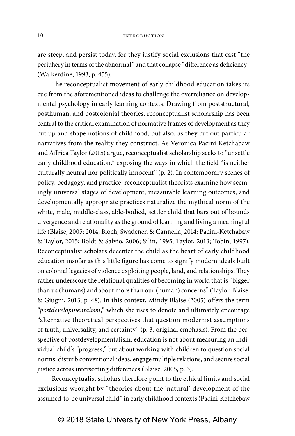are steep, and persist today, for they justify social exclusions that cast "the periphery in terms of the abnormal" and that collapse "difference as deficiency" (Walkerdine, 1993, p. 455).

The reconceptualist movement of early childhood education takes its cue from the aforementioned ideas to challenge the overreliance on developmental psychology in early learning contexts. Drawing from poststructural, posthuman, and postcolonial theories, reconceptualist scholarship has been central to the critical examination of normative frames of development as they cut up and shape notions of childhood, but also, as they cut out particular narratives from the reality they construct. As Veronica Pacini-Ketchabaw and Affrica Taylor (2015) argue, reconceptualist scholarship seeks to "unsettle early childhood education," exposing the ways in which the field "is neither culturally neutral nor politically innocent" (p. 2). In contemporary scenes of policy, pedagogy, and practice, reconceptualist theorists examine how seemingly universal stages of development, measurable learning outcomes, and developmentally appropriate practices naturalize the mythical norm of the white, male, middle-class, able-bodied, settler child that bars out of bounds divergence and relationality as the ground of learning and living a meaningful life (Blaise, 2005; 2014; Bloch, Swadener, & Cannella, 2014; Pacini- Ketchabaw & Taylor, 2015; Boldt & Salvio, 2006; Silin, 1995; Taylor, 2013; Tobin, 1997). Reconceptualist scholars decenter the child as the heart of early childhood education insofar as this little figure has come to signify modern ideals built on colonial legacies of violence exploiting people, land, and relationships. They rather underscore the relational qualities of becoming in world that is "bigger than us (humans) and about more than our (human) concerns" (Taylor, Blaise, & Giugni, 2013, p. 48). In this context, Mindy Blaise (2005) offers the term "postdevelopmentalism," which she uses to denote and ultimately encourage "alternative theoretical perspectives that question modernist assumptions of truth, universality, and certainty" (p. 3, original emphasis). From the perspective of postdevelopmentalism, education is not about measuring an individual child's "progress," but about working with children to question social norms, disturb conventional ideas, engage multiple relations, and secure social justice across intersecting differences (Blaise, 2005, p. 3).

Reconceptualist scholars therefore point to the ethical limits and social exclusions wrought by "theories about the 'natural' development of the assumed-to-be universal child" in early childhood contexts (Pacini-Ketchebaw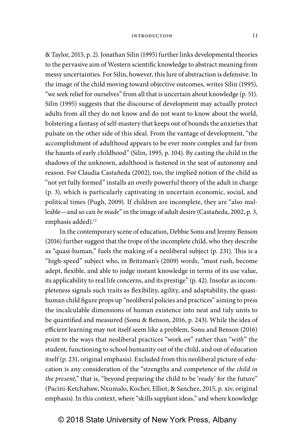& Taylor, 2015, p. 2). Jonathan Silin (1995) further links developmental theories to the pervasive aim of Western scientific knowledge to abstract meaning from messy uncertainties. For Silin, however, this lure of abstraction is defensive. In the image of the child moving toward objective outcomes, writes Silin (1995), "we seek relief for ourselves" from all that is uncertain about knowledge (p. 51). Silin (1995) suggests that the discourse of development may actually protect adults from all they do not know and do not want to know about the world, bolstering a fantasy of self- mastery that keeps out of bounds the anxieties that pulsate on the other side of this ideal. From the vantage of development, "the accomplishment of adulthood appears to be ever more complex and far from the haunts of early childhood" (Silin, 1995, p. 104). By casting the child in the shadows of the unknown, adulthood is fastened in the seat of autonomy and reason. For Claudia Castañeda (2002), too, the implied notion of the child as "not yet fully formed" installs an overly powerful theory of the adult in charge (p. 3), which is particularly captivating in uncertain economic, social, and political times (Pugh, 2009). If children are incomplete, they are "also malleable—and so can be made" in the image of adult desire (Castañeda, 2002, p. 3, emphasis added).<sup>12</sup>

In the contemporary scene of education, Debbie Sonu and Jeremy Benson (2016) further suggest that the trope of the incomplete child, who they describe as "quasi- human," fuels the making of a neoliberal subject (p. 231). This is a "high- speed" subject who, in Britzman's (2009) words, "must rush, become adept, flexible, and able to judge instant knowledge in terms of its use value, its applicability to real life concerns, and its prestige" (p. 42). Insofar as incompleteness signals such traits as flexibility, agility, and adaptability, the quasihuman child figure props up "neoliberal policies and practices" aiming to press the incalculable dimensions of human existence into neat and tidy units to be quantified and measured (Sonu & Benson, 2016, p. 243). While the idea of efficient learning may not itself seem like a problem, Sonu and Benson (2016) point to the ways that neoliberal practices "work on" rather than "with" the student, functioning to school humanity out of the child, and out of education itself (p. 231, original emphasis). Excluded from this neoliberal picture of education is any consideration of the "strengths and competence of the child in the present," that is, "beyond preparing the child to be 'ready' for the future" (Pacini- Ketchabaw, Nxumalo, Kocher, Elliot, & Sanchez, 2015, p. xiv, original emphasis). In this context, where "skills supplant ideas," and where knowledge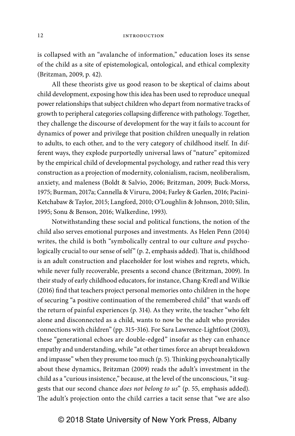is collapsed with an "avalanche of information," education loses its sense of the child as a site of epistemological, ontological, and ethical complexity (Britzman, 2009, p. 42).

All these theorists give us good reason to be skeptical of claims about child development, exposing how this idea has been used to reproduce unequal power relationships that subject children who depart from normative tracks of growth to peripheral categories collapsing difference with pathology. Together, they challenge the discourse of development for the way it fails to account for dynamics of power and privilege that position children unequally in relation to adults, to each other, and to the very category of childhood itself. In different ways, they explode purportedly universal laws of "nature" epitomized by the empirical child of developmental psychology, and rather read this very construction as a projection of modernity, colonialism, racism, neoliberalism, anxiety, and maleness (Boldt & Salvio, 2006; Britzman, 2009; Buck-Morss, 1975; Burman, 2017a; Cannella & Viruru, 2004; Farley & Garlen, 2016; Pacini-Ketchabaw & Taylor, 2015; Langford, 2010; O'Loughlin & Johnson, 2010; Silin, 1995; Sonu & Benson, 2016; Walkerdine, 1993).

Notwithstanding these social and political functions, the notion of the child also serves emotional purposes and investments. As Helen Penn (2014) writes, the child is both "symbolically central to our culture and psychologically crucial to our sense of self" (p. 2, emphasis added). That is, childhood is an adult construction and placeholder for lost wishes and regrets, which, while never fully recoverable, presents a second chance (Britzman, 2009). In their study of early childhood educators, for instance, Chang-Kredl and Wilkie (2016) find that teachers project personal memories onto children in the hope of securing "a positive continuation of the remembered child" that wards off the return of painful experiences (p. 314). As they write, the teacher "who felt alone and disconnected as a child, wants to now be the adult who provides connections with children" (pp. 315-316). For Sara Lawrence-Lightfoot (2003), these "generational echoes are double-edged" insofar as they can enhance empathy and understanding, while "at other times force an abrupt breakdown and impasse" when they presume too much (p. 5). Thinking psychoanalytically about these dynamics, Britzman (2009) reads the adult's investment in the child as a "curious insistence," because, at the level of the unconscious, "it suggests that our second chance does not belong to us" (p. 55, emphasis added). The adult's projection onto the child carries a tacit sense that "we are also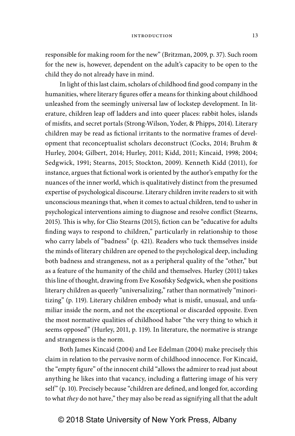responsible for making room for the new" (Britzman, 2009, p. 37). Such room for the new is, however, dependent on the adult's capacity to be open to the child they do not already have in mind.

In light of this last claim, scholars of childhood find good company in the humanities, where literary figures offer a means for thinking about childhood unleashed from the seemingly universal law of lockstep development. In literature, children leap off ladders and into queer places: rabbit holes, islands of misfits, and secret portals (Strong-Wilson, Yoder, & Phipps, 2014). Literary children may be read as fictional irritants to the normative frames of development that reconceptualist scholars deconstruct (Cocks, 2014; Bruhm & Hurley, 2004; Gilbert, 2014; Hurley, 2011; Kidd, 2011; Kincaid, 1998; 2004; Sedgwick, 1991; Stearns, 2015; Stockton, 2009). Kenneth Kidd (2011), for instance, argues that fictional work is oriented by the author's empathy for the nuances of the inner world, which is qualitatively distinct from the presumed expertise of psychological discourse. Literary children invite readers to sit with unconscious meanings that, when it comes to actual children, tend to usher in psychological interventions aiming to diagnose and resolve conflict (Stearns, 2015). This is why, for Clio Stearns (2015), fiction can be "educative for adults finding ways to respond to children," particularly in relationship to those who carry labels of "badness" (p. 421). Readers who tuck themselves inside the minds of literary children are opened to the psychological deep, including both badness and strangeness, not as a peripheral quality of the "other," but as a feature of the humanity of the child and themselves. Hurley (2011) takes this line of thought, drawing from Eve Kosofsky Sedgwick, when she positions literary children as queerly "universalizing," rather than normatively "minoritizing" (p. 119). Literary children embody what is misfit, unusual, and unfamiliar inside the norm, and not the exceptional or discarded opposite. Even the most normative qualities of childhood habor "the very thing to which it seems opposed" (Hurley, 2011, p. 119). In literature, the normative is strange and strangeness is the norm.

Both James Kincaid (2004) and Lee Edelman (2004) make precisely this claim in relation to the pervasive norm of childhood innocence. For Kincaid, the "empty figure" of the innocent child "allows the admirer to read just about anything he likes into that vacancy, including a flattering image of his very self" (p. 10). Precisely because "children are defined, and longed for, according to what they do not have," they may also be read as signifying all that the adult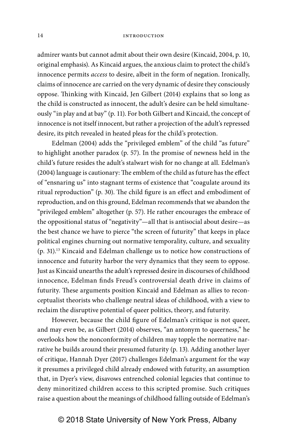admirer wants but cannot admit about their own desire (Kincaid, 2004, p. 10, original emphasis). As Kincaid argues, the anxious claim to protect the child's innocence permits access to desire, albeit in the form of negation. Ironically, claims of innocence are carried on the very dynamic of desire they consciously oppose. Thinking with Kincaid, Jen Gilbert (2014) explains that so long as the child is constructed as innocent, the adult's desire can be held simultaneously "in play and at bay" (p. 11). For both Gilbert and Kincaid, the concept of innocence is not itself innocent, but rather a projection of the adult's repressed desire, its pitch revealed in heated pleas for the child's protection.

Edelman (2004) adds the "privileged emblem" of the child "as future" to highlight another paradox (p. 57). In the promise of newness held in the child's future resides the adult's stalwart wish for no change at all. Edelman's (2004) language is cautionary: The emblem of the child as future has the effect of "ensnaring us" into stagnant terms of existence that "coagulate around its ritual reproduction" (p. 30). The child figure is an effect and embodiment of reproduction, and on this ground, Edelman recommends that we abandon the "privileged emblem" altogether (p. 57). He rather encourages the embrace of the oppositional status of "negativity"—all that is antisocial about desire—as the best chance we have to pierce "the screen of futurity" that keeps in place political engines churning out normative temporality, culture, and sexuality (p. 31).13 Kincaid and Edelman challenge us to notice how constructions of innocence and futurity harbor the very dynamics that they seem to oppose. Just as Kincaid unearths the adult's repressed desire in discourses of childhood innocence, Edelman finds Freud's controversial death drive in claims of futurity. These arguments position Kincaid and Edelman as allies to reconceptualist theorists who challenge neutral ideas of childhood, with a view to reclaim the disruptive potential of queer politics, theory, and futurity.

However, because the child figure of Edelman's critique is not queer, and may even be, as Gilbert (2014) observes, "an antonym to queerness," he overlooks how the nonconformity of children may topple the normative narrative he builds around their presumed futurity (p. 13). Adding another layer of critique, Hannah Dyer (2017) challenges Edelman's argument for the way it presumes a privileged child already endowed with futurity, an assumption that, in Dyer's view, disavows entrenched colonial legacies that continue to deny minoritized children access to this scripted promise. Such critiques raise a question about the meanings of childhood falling outside of Edelman's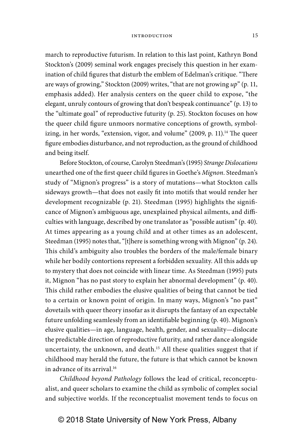march to reproductive futurism. In relation to this last point, Kathryn Bond Stockton's (2009) seminal work engages precisely this question in her examination of child figures that disturb the emblem of Edelman's critique. "There are ways of growing," Stockton (2009) writes, "that are not growing  $up$ " (p. 11, emphasis added). Her analysis centers on the queer child to expose, "the elegant, unruly contours of growing that don't bespeak continuance" (p. 13) to the "ultimate goal" of reproductive futurity (p. 25). Stockton focuses on how the queer child figure unmoors normative conceptions of growth, symbolizing, in her words, "extension, vigor, and volume" (2009, p. 11).<sup>14</sup> The queer figure embodies disturbance, and not reproduction, as the ground of childhood and being itself.

Before Stockton, of course, Carolyn Steedman's (1995) Strange Dislocations unearthed one of the first queer child figures in Goethe's Mignon. Steedman's study of "Mignon's progress" is a story of mutations—what Stockton calls sideways growth—that does not easily fit into motifs that would render her development recognizable (p. 21). Steedman (1995) highlights the significance of Mignon's ambiguous age, unexplained physical ailments, and difficulties with language, described by one translator as "possible autism" (p. 40). At times appearing as a young child and at other times as an adolescent, Steedman (1995) notes that, "[t]here is something wrong with Mignon" (p. 24). This child's ambiguity also troubles the borders of the male/female binary while her bodily contortions represent a forbidden sexuality. All this adds up to mystery that does not coincide with linear time. As Steedman (1995) puts it, Mignon "has no past story to explain her abnormal development" (p. 40). This child rather embodies the elusive qualities of being that cannot be tied to a certain or known point of origin. In many ways, Mignon's "no past" dovetails with queer theory insofar as it disrupts the fantasy of an expectable future unfolding seamlessly from an identifiable beginning (p. 40). Mignon's elusive qualities—in age, language, health, gender, and sexuality—dislocate the predictable direction of reproductive futurity, and rather dance alongside uncertainty, the unknown, and death.<sup>15</sup> All these qualities suggest that if childhood may herald the future, the future is that which cannot be known in advance of its arrival.<sup>16</sup>

Childhood beyond Pathology follows the lead of critical, reconceptualist, and queer scholars to examine the child as symbolic of complex social and subjective worlds. If the reconceptualist movement tends to focus on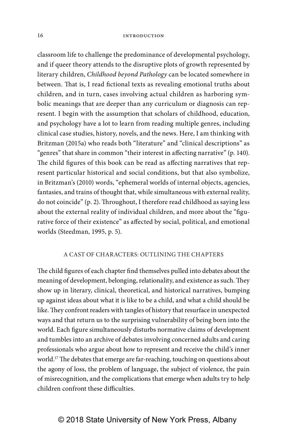classroom life to challenge the predominance of developmental psychology, and if queer theory attends to the disruptive plots of growth represented by literary children, Childhood beyond Pathology can be located somewhere in between. That is, I read fictional texts as revealing emotional truths about children, and in turn, cases involving actual children as harboring symbolic meanings that are deeper than any curriculum or diagnosis can represent. I begin with the assumption that scholars of childhood, education, and psychology have a lot to learn from reading multiple genres, including clinical case studies, history, novels, and the news. Here, I am thinking with Britzman (2015a) who reads both "literature" and "clinical descriptions" as "genres" that share in common "their interest in affecting narrative" (p. 140). The child figures of this book can be read as affecting narratives that represent particular historical and social conditions, but that also symbolize, in Britzman's (2010) words, "ephemeral worlds of internal objects, agencies, fantasies, and trains of thought that, while simultaneous with external reality, do not coincide" (p. 2). Throughout, I therefore read childhood as saying less about the external reality of individual children, and more about the "figurative force of their existence" as affected by social, political, and emotional worlds (Steedman, 1995, p. 5).

### A CAST OF CHARACTERS: OUTLINING THE CHAPTERS

The child figures of each chapter find themselves pulled into debates about the meaning of development, belonging, relationality, and existence as such. They show up in literary, clinical, theoretical, and historical narratives, bumping up against ideas about what it is like to be a child, and what a child should be like. They confront readers with tangles of history that resurface in unexpected ways and that return us to the surprising vulnerability of being born into the world. Each figure simultaneously disturbs normative claims of development and tumbles into an archive of debates involving concerned adults and caring professionals who argue about how to represent and receive the child's inner world.17 The debates that emerge are far- reaching, touching on questions about the agony of loss, the problem of language, the subject of violence, the pain of misrecognition, and the complications that emerge when adults try to help children confront these difficulties.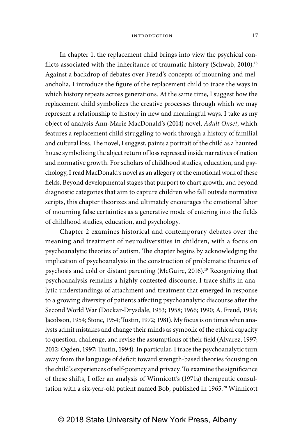In chapter 1, the replacement child brings into view the psychical conflicts associated with the inheritance of traumatic history (Schwab, 2010).<sup>18</sup> Against a backdrop of debates over Freud's concepts of mourning and melancholia, I introduce the figure of the replacement child to trace the ways in which history repeats across generations. At the same time, I suggest how the replacement child symbolizes the creative processes through which we may represent a relationship to history in new and meaningful ways. I take as my object of analysis Ann-Marie MacDonald's (2014) novel, Adult Onset, which features a replacement child struggling to work through a history of familial and cultural loss. The novel, I suggest, paints a portrait of the child as a haunted house symbolizing the abject return of loss repressed inside narratives of nation and normative growth. For scholars of childhood studies, education, and psychology, I read MacDonald's novel as an allegory of the emotional work of these fields. Beyond developmental stages that purport to chart growth, and beyond diagnostic categories that aim to capture children who fall outside normative scripts, this chapter theorizes and ultimately encourages the emotional labor of mourning false certainties as a generative mode of entering into the fields of childhood studies, education, and psychology.

Chapter 2 examines historical and contemporary debates over the meaning and treatment of neurodiversities in children, with a focus on psychoanalytic theories of autism. The chapter begins by acknowledging the implication of psychoanalysis in the construction of problematic theories of psychosis and cold or distant parenting (McGuire, 2016).<sup>19</sup> Recognizing that psychoanalysis remains a highly contested discourse, I trace shifts in analytic understandings of attachment and treatment that emerged in response to a growing diversity of patients affecting psychoanalytic discourse after the Second World War (Dockar- Drysdale, 1953; 1958; 1966; 1990; A. Freud, 1954; Jacobson, 1954; Stone, 1954; Tustin, 1972; 1981). My focus is on times when analysts admit mistakes and change their minds as symbolic of the ethical capacity to question, challenge, and revise the assumptions of their field (Alvarez, 1997; 2012; Ogden, 1997; Tustin, 1994). In particular, I trace the psychoanalytic turn away from the language of deficit toward strength- based theories focusing on the child's experiences of self- potency and privacy. To examine the significance of these shifts, I offer an analysis of Winnicott's (1971a) therapeutic consultation with a six-year-old patient named Bob, published in 1965.<sup>20</sup> Winnicott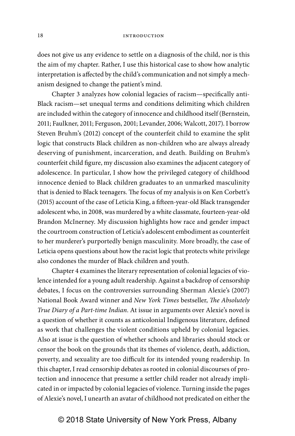does not give us any evidence to settle on a diagnosis of the child, nor is this the aim of my chapter. Rather, I use this historical case to show how analytic interpretation is affected by the child's communication and not simply a mechanism designed to change the patient's mind.

Chapter 3 analyzes how colonial legacies of racism—specifically anti-Black racism—set unequal terms and conditions delimiting which children are included within the category of innocence and childhood itself (Bernstein, 2011; Faulkner, 2011; Ferguson, 2001; Levander, 2006; Walcott, 2017). I borrow Steven Bruhm's (2012) concept of the counterfeit child to examine the split logic that constructs Black children as non- children who are always already deserving of punishment, incarceration, and death. Building on Bruhm's counterfeit child figure, my discussion also examines the adjacent category of adolescence. In particular, I show how the privileged category of childhood innocence denied to Black children graduates to an unmarked masculinity that is denied to Black teenagers. The focus of my analysis is on Ken Corbett's (2015) account of the case of Leticia King, a fifteen- year- old Black transgender adolescent who, in 2008, was murdered by a white classmate, fourteen-year-old Brandon McInerney. My discussion highlights how race and gender impact the courtroom construction of Leticia's adolescent embodiment as counterfeit to her murderer's purportedly benign masculinity. More broadly, the case of Leticia opens questions about how the racist logic that protects white privilege also condones the murder of Black children and youth.

Chapter 4 examines the literary representation of colonial legacies of violence intended for a young adult readership. Against a backdrop of censorship debates, I focus on the controversies surrounding Sherman Alexie's (2007) National Book Award winner and New York Times bestseller, The Absolutely True Diary of a Part-time Indian. At issue in arguments over Alexie's novel is a question of whether it counts as anticolonial Indigenous literature, defined as work that challenges the violent conditions upheld by colonial legacies. Also at issue is the question of whether schools and libraries should stock or censor the book on the grounds that its themes of violence, death, addiction, poverty, and sexuality are too difficult for its intended young readership. In this chapter, I read censorship debates as rooted in colonial discourses of protection and innocence that presume a settler child reader not already implicated in or impacted by colonial legacies of violence. Turning inside the pages of Alexie's novel, I unearth an avatar of childhood not predicated on either the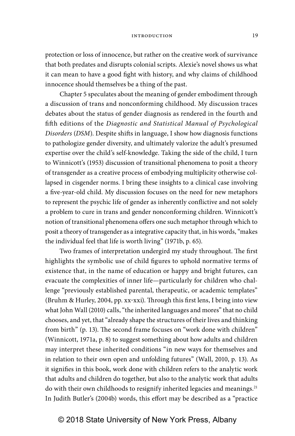protection or loss of innocence, but rather on the creative work of survivance that both predates and disrupts colonial scripts. Alexie's novel shows us what it can mean to have a good fight with history, and why claims of childhood innocence should themselves be a thing of the past.

Chapter 5 speculates about the meaning of gender embodiment through a discussion of trans and nonconforming childhood. My discussion traces debates about the status of gender diagnosis as rendered in the fourth and fifth editions of the Diagnostic and Statistical Manual of Psychological Disorders (DSM). Despite shifts in language, I show how diagnosis functions to pathologize gender diversity, and ultimately valorize the adult's presumed expertise over the child's self-knowledge. Taking the side of the child, I turn to Winnicott's (1953) discussion of transitional phenomena to posit a theory of transgender as a creative process of embodying multiplicity otherwise collapsed in cisgender norms. I bring these insights to a clinical case involving a five- year- old child. My discussion focuses on the need for new metaphors to represent the psychic life of gender as inherently conflictive and not solely a problem to cure in trans and gender nonconforming children. Winnicott's notion of transitional phenomena offers one such metaphor through which to posit a theory of transgender as a integrative capacity that, in his words, "makes the individual feel that life is worth living" (1971b, p. 65).

Two frames of interpretation undergird my study throughout. The first highlights the symbolic use of child figures to uphold normative terms of existence that, in the name of education or happy and bright futures, can evacuate the complexities of inner life—particularly for children who challenge "previously established parental, therapeutic, or academic templates" (Bruhm & Hurley, 2004, pp. xx-xxi). Through this first lens, I bring into view what John Wall (2010) calls, "the inherited languages and mores" that no child chooses, and yet, that "already shape the structures of their lives and thinking from birth" (p. 13). The second frame focuses on "work done with children" (Winnicott, 1971a, p. 8) to suggest something about how adults and children may interpret these inherited conditions "in new ways for themselves and in relation to their own open and unfolding futures" (Wall, 2010, p. 13). As it signifies in this book, work done with children refers to the analytic work that adults and children do together, but also to the analytic work that adults do with their own childhoods to resignify inherited legacies and meanings.<sup>21</sup> In Judith Butler's (2004b) words, this effort may be described as a "practice